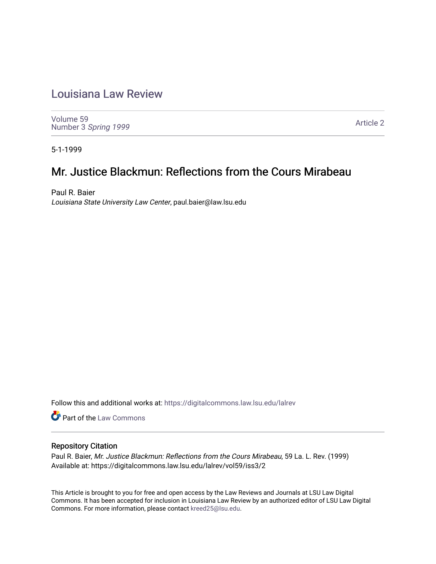## [Louisiana Law Review](https://digitalcommons.law.lsu.edu/lalrev)

[Volume 59](https://digitalcommons.law.lsu.edu/lalrev/vol59) Number 3 [Spring 1999](https://digitalcommons.law.lsu.edu/lalrev/vol59/iss3) 

[Article 2](https://digitalcommons.law.lsu.edu/lalrev/vol59/iss3/2) 

5-1-1999

## Mr. Justice Blackmun: Reflections from the Cours Mirabeau

Paul R. Baier Louisiana State University Law Center, paul.baier@law.lsu.edu

Follow this and additional works at: [https://digitalcommons.law.lsu.edu/lalrev](https://digitalcommons.law.lsu.edu/lalrev?utm_source=digitalcommons.law.lsu.edu%2Flalrev%2Fvol59%2Fiss3%2F2&utm_medium=PDF&utm_campaign=PDFCoverPages)

**Part of the [Law Commons](https://network.bepress.com/hgg/discipline/578?utm_source=digitalcommons.law.lsu.edu%2Flalrev%2Fvol59%2Fiss3%2F2&utm_medium=PDF&utm_campaign=PDFCoverPages)** 

## Repository Citation

Paul R. Baier, Mr. Justice Blackmun: Reflections from the Cours Mirabeau, 59 La. L. Rev. (1999) Available at: https://digitalcommons.law.lsu.edu/lalrev/vol59/iss3/2

This Article is brought to you for free and open access by the Law Reviews and Journals at LSU Law Digital Commons. It has been accepted for inclusion in Louisiana Law Review by an authorized editor of LSU Law Digital Commons. For more information, please contact [kreed25@lsu.edu](mailto:kreed25@lsu.edu).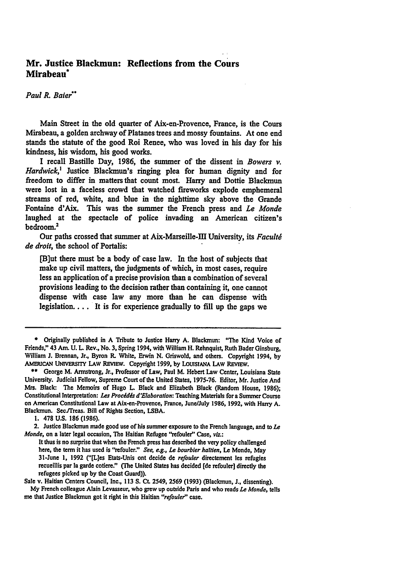## **Mr. Justice Blackmun: Reflections from the Cours Mirabeau\***

Paul R. Baier"

Main Street in the old quarter of Aix-en-Provence, France, is the Cours Mirabeau, a golden archway of Platanes trees and mossy fountains. At one end stands the statute of the good Roi Renee, who was loved in his day for his kindness, his wisdom, his good works.

I recall Bastille Day, **1986,** the summer of the dissent in *Bowers v. Hardwick,'* Justice Blackmun's ringing plea for human dignity and for freedom to differ in matters that count most. Harry and Dottie Blackmun were lost in a faceless crowd that watched fireworks explode emphemeral streams of red, white, and blue in the nighttime sky above the Grande Fontaine d'Aix. This was the summer the French press and *Le Monde*  laughed at the spectacle of police invading an American citizen's bedroom

Our paths crossed that summer at Aix-Marseille-III University, its *Faculté* de droit, the school of Portalis:

[B]ut there must be a body of case law. In the host of subjects that make up civil matters, the judgments of which, in most cases, require less an application of a precise provision than a combination of several provisions leading to the decision rather than containing it, one cannot dispense with case law any more than he can dispense with legislation.... It is for experience gradually to **fill** up the gaps we

**1. 478 U.S. 186 (1986).** 

Sale v. Haitian Centers Council, Inc., **113 S.Ct.** 2549, **2569 (1993)** (Blackmun, **J.,** dissenting). **My** French colleague Alain Levasseur, who grew up outside Paris and who reads *Le Monde,* tells me that Justice Blackmun got it right in this Haitian *"refouler"* case.

Originally published in **A Tnbute** to Justice Harry **A.** Blackmun: "The Kind Voice of Friends," 43 Am.**U.** L Rev., No. **3,** Spring 1994, with William H. Rehnquist, Ruth Bader Ginsburg, William **J.** Brennan, Jr., Byron R. White, Erwin **N.** Griswold, and others. Copyright 1994, **by AMERICAN** UNIVERsrrY LAW REVIEW. Copyright **1999, by** LOUISIANA LAw REVIEW.

**<sup>0\*</sup>** George M. Armstrong, Jr., Professor of Law, Paul M. Hebert Law Center, Louisiana State University. Judicial Fellow, Supreme Court of the United States, **1975-76.** Editor, Mr. Justice And Mrs. Black: The Memoirs of Hugo L. Black and Elizabeth Black (Random House, **1986);**  Constitutional Interpretation: Les Procédés d'Elaboration: Teaching Materials for a Summer Course on American Constitutional Law at Aix-en-Provence, France, June/July **1986, 1992,** with Harry **A.**  Blackmun. Sec.Treas. Bill of Rights Section, **LSBA.** 

<sup>2.</sup> Justice Blacknun made good use of his summer exposure to the French language, and to *Le Monde,* on a later legal occasion, The Haitian Refugee "refouler" Case, **viz.:** 

It thus is no surprise that when the French press has described the very policy challenged here, the term it has used is "refouler." *See, e.g., Le bourbier haïtien*, Le Monde, May 31-June **1, 1992 ("[Lies** Etats-Unis ont decide de *refouler* directement les refiagies recueillis par **la**garde cotiere." (The United States has decided (de refouler] directly the refugees picked up **by** the Coast Guard)).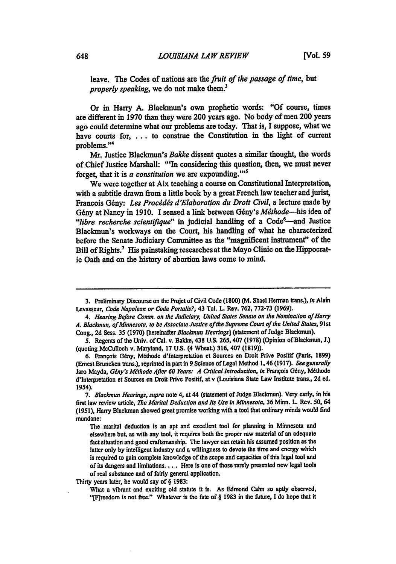leave. The Codes of nations are the *fruit of the passage of time*, but *properly speaking*, we do not make them.<sup>3</sup>

Or in Harry **A.** Blackmun's own prophetic words: **"Of** course, times are different in **1970** than they were 200 years ago. No body of men 200 years ago could determine what our problems are today. That is, **I** suppose, what we have courts for, ... to construe the Constitution in the light of current problems."

Mr. Justice Blackmun's *Bakke* dissent quotes a similar thought, the words of Chief Justice Marshall: "'In considering this question, then, we must never forget, that it is *a constitution* we are expounding."<sup>5</sup>

We were together at Aix teaching a course on Constitutional Interpretation, with a subtitle drawn from a little book **by** a great French law teacher and jurist, Francois Gény: *Les Procédés d'Elaboration du Droit Civil*, a lecture made by Gény at Nancy in 1910. I sensed a link between Gény's *Méthode*-his idea of "*libre recherche scientifique*" in judicial handling of a Code<sup>6</sup>-and Justice Blackmun's workways on the Court, his handling of what he characterized before the Senate Judiciary Committee as the "magnificent instrument" of the Bill of Rights." His painstaking researches at the Mayo Clinic on the Hippocratic Oath and on the history of abortion laws come to mind.

Thirty years later, he would say of § **1983:** 

**<sup>3.</sup>** Preliminary Discourse on the Projet of Civil Code **(1800)** (M. Shael Herman trans.), *in* Alain Levasseur, *Code Napoleon or Code Portalis?,*43 Tul. L Rev. **762, 772-73 (1969).** 

*<sup>4.</sup> HearingBefore Comm. on theJudiciary, UnitedStates Senate on the Nominaion of Harry*  A. Blackmun, of Minnesota, to be Associate Justice of the Supreme Court of the United States, 91st Cong., **2d** Sess. 35 **(1970)** [hereinafter *Blackmun Hearings]*(statement of Judge Blackmun).

**<sup>5.</sup>** Regents of the Univ. ofCal. v. Bakke, 438 **U.S. 265,407 (1978)** (Opinion of Blackmun, **J.)**  (quoting McCulloch v. Maryland, **17 U.S.** (4 Wheat) **316,** 407 **(1819)).** 

**<sup>6.</sup>** Frangois Gdny, M6thode d'Interpretation et Sources en Droit Prive Positif (Paris, **1899)**  (Ernest Bruncken trans.), reprinted in part in **9** Science ofLegal Method **1,**46 **(1917).** *See generally*  Jaro Mayda, *Gdny's Mithode Afler 60 Years: A CriticalIntroduction,in* Frangois **G6ny,** Mdthode d'Interpretation et Sources en Droit Prive Positif, at v (Louisiana State Law Institute **trans., 2d** ed. 1954).

*<sup>7.</sup> Blackmun Hearings,supra*note **4,** at 44 (statement of Judge Blackmun). Very early, in his first law review article, *The Marital Deduction and Its Use in Minnesota*, 36 Minn. L. Rev. 50, 64 **(1951), Harry** Blackmun showed great promise working with a tool that ordinary minds would find mundane:

The marital deduction is an apt and excellent tool for planning in Minnesota and elsewhere but, as with any tool, it requires both the proper **raw** material of an adequate fact situation and good craftsmanship. **The** lawyer can retain his assumed position as the latter only **by** intelligent industry and a willingness to devote the time and energy which is required to **gain** complete knowledge of the scope and capacities of this legal tool and of its dangers and limitations.... Here is one of those rarely presented new legal tools of real substance and of fairly general application.

What a vibrant and exciting old statute it is. As Edmond Cahn so aptly observed, "[Flreedom is not free." Whatever is the fate of § **1983** in the future, **I** do hope that it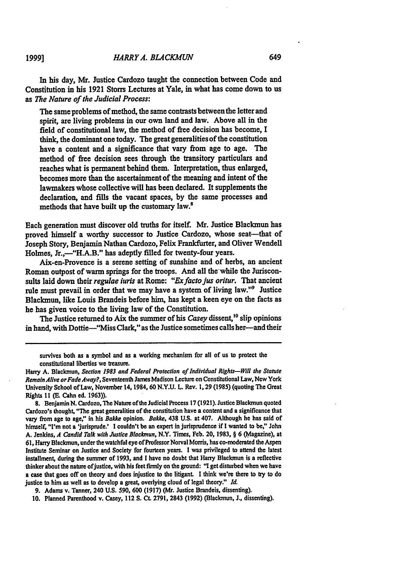In his day, Mr. Justice Cardozo taught the connection between Code and Constitution in his **1921** Storrs Lectures at Yale, in what has come down to us as *The Nature of the Judicial Process:* 

649

The same problems of method, the same contrasts between the letter and spirit, are living problems in our own land and law. Above all in the field of constitutional law, the method of free decision has become, I think, the dominant one today. The great generalities of the constitution have a content and a significance that vary from age to age. The method of free decision sees through the transitory particulars and reaches what is permanent behind them. Interpretation, thus enlarged, becomes more **than** the ascertainment of the meaning and intent of the lawmakers whose collective will has been declared. It supplements the declaration, and fills the vacant spaces, **by** the same processes and methods that have built up the customary law.<sup>8</sup>

Each generation must discover old truths for itself. Mr. Justice Blackmun has proved himself a worthy successor to Justice Cardozo, whose seat-that of Joseph Story, Benjamin Nathan Cardozo, Felix Frankfurter, and Oliver Wendell Holmes, Jr.,-"H.A.B." has adeptly filled for twenty-four years.

Aix-en-Provence is a serene setting of sunshine and of herbs, an ancient Roman outpost of warm springs for the troops. And all the'while the Jurisconsults laid down their *regulae iuris* at Rome: "Ex facto jus oritur. That ancient rule must prevail in order that we may have a system of living law."9 Justice Blackmun, like Louis Brandeis before him, has kept a keen eye on the facts as he has given voice to the living law of the Constitution.

The Justice returned to Aix the summer of his *Casey* dissent,<sup>10</sup> slip opinions in hand, with Dottie-"Miss Clark," as the Justice sometimes calls her-and their

**10.** Planned Parenthood v. Casey, 112 **S.CL 2791,** 2843 **(1992)** (Blackinun, **J.,**dissenting).

survives both as a symbol and as a working mechanism for all of us to protect the constitutional liberties we treasure.

Harry A. Blackmun, *Section 1983 and Federal Protection of Individual Rights-Will the Statute RemainAlive orFadeAway?,* Seventeenth James Madison Lecture on Constitutional Law, New York University School ofLaw, November 14, 1984, **60 N.Y.U.** L. Rev. **1,29 (1985)** (quoting The Great Rights **II(E.** Cahn ed. **1963)).** 

<sup>8.</sup> Benjamin N. Cardozo, The Nature of the Judicial Process 17 (1921). Justice Blackmun quoted Cardozo's thought, "The great generalities of the constitution have a content and a significance that vary from age to age," in his *Bakke* opinion. *Bakke,* 438 **U.S.** at 407. Although he has said of himself, "I'm not a 'jurisprude.' **I** couldn't be an expert in jurisprudence if **I** wanted **to** be," John **A.** Jenkins, *A CandidTalk with Justice Blackrnun,* N.Y. Times, Feb. 20, **1983,** § **6** (Magazine), at **61,** Harry Blackmun, under the watchful eye ofProfessor Norval Morris, has co-moderated the Aspen Institute Seminar on Justice and Society for fourteen years. I was privileged **to** attend the latest installment. during the summer of **1993,** and I have no doubt that Harry Blackmun is a reflective thinker about the nature ofjustice, with his feet **firmly** on the ground: **"I**getdisturbed when we have a case that goes off on theory and does injustice to the litigant. **I** think we're there to try to do justice to him as well **as** to develop a great, overlying cloud of legal theory." *Id.* 

**<sup>9.</sup>** Adams v. Tanner, 240 **U.S. 590, 600 (1917)** (Mr. Justice Brandeis, dissenting).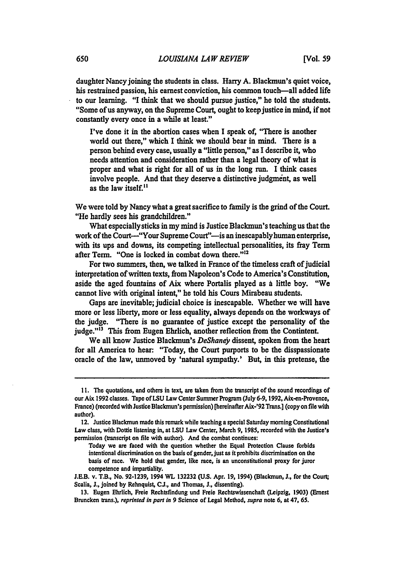daughter Nancy joining the students in class. Harry **A.** Blackmun's quiet voice, his restrained passion, his earnest conviction, his common touch-all added life to our learning. "I think that we should pursue justice," he told the students. "Some of us anyway, on the Supreme Court, ought to keep justice in mind, if not constantly every once in a while at least."

I've done it in the abortion cases when **I** speak of, "There is another world out there," which **I** think we should bear in mind. There is a person behind every case, usually a "little person," as **I** describe it, who needs attention and consideration rather than a legal theory of what is proper and what is right for all of us in the long run. I think cases involve people. And that they deserve a distinctive judgment, as **well**  as the law itself.<sup>11</sup>

We were told by Nancy what a great sacrifice to family is the grind of the Court. "He hardly sees his grandchildren."

What especially sticks in my mind is Justice Blackmun's teaching us that the work of the Court-"Your Supreme Court"---is an inescapably human enterprise, with its ups and downs, its competing intellectual personalities, its fray Term after Term. "One is locked in combat down there."<sup>12</sup>

For two summers, then, we talked in France of the timeless craft of judicial interpretation of written texts, from Napoleon's Code to America's Constitution, aside the aged fountains of Aix where Portalis played as **a** little boy. "We cannot live with original intent," he told his Cours Mirabeau students.

Gaps are inevitable; judicial choice is inescapable. Whether we will have more or less liberty, more or less equality, always depends on the workways of the judge. "There is no guarantee of justice except the personality of the judge."<sup>13</sup> This from Eugen Ehrlich, another reflection from the Contintent.

We all know Justice Blackmun's *DeShaney* dissent, spoken from the heart for all America to hear: "Today, the Court purports to be the disspassionate oracle of the law, unmoved **by** 'natural sympathy.' But, in this pretense, the

**<sup>11.</sup> The** quotations, and others in text, are taken from the transcript of the sound recordings of our Aix **1992** classes. Tape ofLSU Law Center Summer Program (July **6-9, 1992,** Aix-en-Provence, France) (recorded with Justice Blackmun's permission) [hereinafterAix-'92 Trans.] (copy on file with author).

<sup>12.</sup> Justice Blackmun made this remark **while** teaching a special Saturday morning Constitutional Law class, with Dottie listening in, at **LSU** Law Center, March **9, 1985,** recorded with the Justice's permission (transcript on file with author). And the combat continues:

Today we are faced with the question whether the Equal Protection Clause forbids intentional discrimination on the basis of gender, just as it prohibits discrimination on the basis of race. We hold that gender, like race, is an unconstitutional proxy for juror competence and impartiality.

**J.E.B.** v. T.B., No. **92-1239,** 1994 **WL 132232 (U.S.** Apr. **19,** 1994) (Blackmun, **J.,** for the Court; Scalia, **J.,** joined **by** Rehnquist, **CJ.,** and Thomas, **J.,** dissenting).

**<sup>13.</sup>** Eugen Ehrlich, Freie Rechtsfindung und Freic Rechtswissenchaft (Leipzig, **1903)** (Ernest Bruncken trans.), *reprintedin part in* **9** Science of Legal Method, *supra* note **6,** at 47, **65.**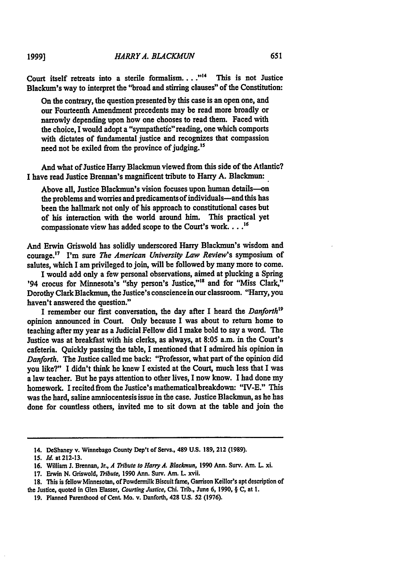Court itself retreats into a sterile formalism...."<sup>14</sup> This is not Justice Blackum's way to interpret the "broad and stirring clauses" of the Constitution:

On the contrary, the question presented **by** this case is an open one, and our Fourteenth Amendment precedents may **be** read more broadly or narrowly depending upon how one chooses to read them. Faced with the choice, I would adopt a "sympathetic" reading, one which comports with dictates of fundamental justice and recognizes that compassion need not be exiled from the province of judging.<sup>15</sup>

And what of Justice Harry Blackmun viewed from this side of the Atlantic? I have read Justice Brennan's magnificent tribute to Harry **A.** Blackmun:

Above all, Justice Blackmun's vision focuses upon human details-on the problems and worries and predicaments of individuals-and this has been the hallmark not only of his approach to constitutional cases but of his interaction with the world around him. This practical yet compassionate view has added scope to the Court's work. . . .<sup>16</sup>

And Erwin Griswold has solidly underscored Harry Blackmun's wisdom and courage. 7 I'm sure *The American University Law Review's* symposium of salutes, which **I** am privileged to join, will be followed **by** many more to come.

**I** would add only a few personal observations, aimed at plucking a Spring '94 crocus for Minnesota's "shy person's Justice,"<sup>18</sup> and for "Miss Clark," Dorothy Clark Blackmun, the Justice's conscience in our classroom. "Harry, you haven't answered the question."

I remember our first conversation, the day after I heard the *Danforth*<sup>19</sup> opinion announced in Court. Only because **I** was about to return home to teaching after my year as a Judicial Fellow did I make bold to say a word. The Justice was at breakfast with his clerks, as always, at **8:05** a.m. in the Court's cafeteria. Quickly passing the table, I mentioned that **I** admired his opinion in *Danforth.* The Justice called me back: "Professor, what part of the opinion did you like?" **I** didn't think he knew I existed at the Court, much less that I was a law teacher. But he pays attention to other lives, I now know. I had done my homework. I recited from the Justice's mathematicalbreakdown: "IV-E." This was the hard, saline amniocentesis issue in the case. Justice Blackmun, as he has done for countless others, invited me to sit down at the table and join the

<sup>14.</sup> DeSbaney v. Winnebago County Dep't of Servs., 489 **U.S. 189,** 212 **(1989).** 

*<sup>15.</sup> Id.* at **212-13.** 

**<sup>16.</sup>** William **J.**Brennan, Jr., *A Tibute to HarryA. Blackmun,* **1990** Ann. **Surv.Am.**L. **xi.** 

**<sup>17.</sup>** Erwin **N.** Griswold, *Dibute,* **1990** Ann. **Surv.** Am. L **xvii.** 

<sup>18.</sup> This is fellow Minnesotan, of Powdermilk Biscuit fame, Garrison Keillor's apt description of the Justice, quoted in Glen Elasser, *CourtingJustice,* Chi. Trib., June **6, 1990,** § **C,** at **1.** 

**<sup>19.</sup>** Planned Parenthood of Cent. Mo. v. Danforth, 428 **U.S. 52 (1976).**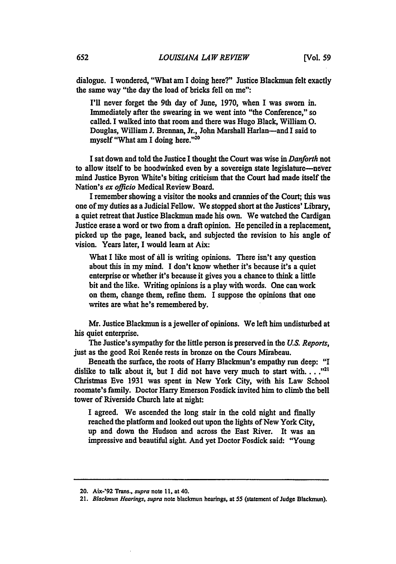dialogue. I wondered, "What am **I** doing here?" Justice Blackmun felt exactly the same way "the day the load of bricks fell on me":

**I'll** never forget the 9th day of June, **1970,** when I was sworn in. Immediately after the swearing in we went into "the Conference," so called. I walked into that room and there was Hugo Black, William **0.**  Douglas, William **J.** Brennan, Jr., John Marshall Harlan-and **I** said to myself "What am I doing here."<sup>20</sup>

**I** sat down and told the Justice **I** thought the Court was wise in *Danforth* not to allow itself to **be** hoodwinked even **by** a sovereign state legislature-never mind Justice Byron White's biting criticism that the Court had made itself the Nation's *ex officio* Medical Review Board.

**I** remember showing a visitor the nooks and crannies of the Court; this was one of my duties as a Judicial Fellow. We stopped short at the Justices' Library, a quiet retreat that Justice Blackmun made his own. We watched the Cardigan Justice erase a word or two from a draft opinion. He penciled in a replacement, picked up the page, leaned back, and subjected the revision to his angle of vision. Years later, **I** would learn at Aix:

What I like most of all is writing opinions. There isn't any question about this in my mind. **I** don't know whether it's because it's a quiet enterprise or whether it's because it gives you a chance to think a little bit and the like. Writing opinions is a play with words. One can work on them, change them, refine them. I suppose the opinions that one writes are what he's remembered **by.** 

Mr. Justice Blackmun is a jeweller of opinions. We left him undisturbed at his quiet enterprise.

The Justice's sympathy for the little person is preserved in the *US. Reports,*  just as the good Roi Renée rests in bronze on the Cours Mirabeau.

Beneath the surface, the roots of Harry Blackmun's empathy run deep: "I dislike to talk about it, but I did not have very much to start with....<sup>121</sup> Christmas Eve 1931 was spent in New York City, with his Law School roomate's family. Doctor Harry Emerson Fosdick invited him to climb the bell tower of Riverside Church late at night:

I agreed. We ascended the long stair in the cold night and finally reached the platform and looked out upon the lights of New York City, up and down the Hudson and across the East River. It was an impressive and beautiful sight. And yet Doctor Fosdick said: "Young

<sup>20.</sup> Aix-'92 Trans., *supra* note **11.** at 40.

<sup>21.</sup> *Blaclanun Hearings, supra* note blackmun hearings, at **55** (statement of Judge Blackmun).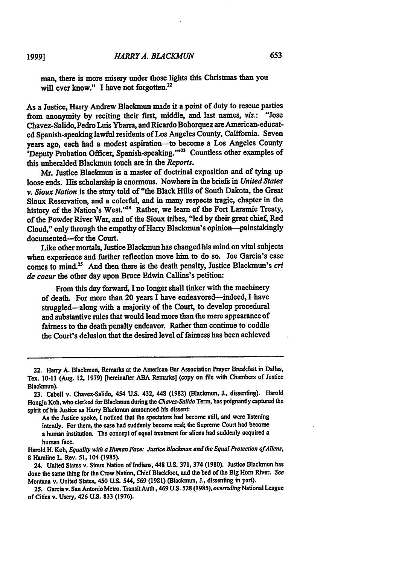man, there is more misery under those lights this Christmas than you will ever know." I have not forgotten.<sup>22</sup>

As a Justice, **Harry** Andrew Blackmun made it a point of duty to rescue parties from anonymity **by** reciting their first, middle, and last names, viz.: "Jose Chavez-Salido, Pedro Luis Ybarra, and Ricardo Bohorquez are American-educated Spanish-speaking lawful residents of Los Angeles County, California. Seven years ago, each had a modest aspiration-to become a Los Angeles County 'Deputy Probation Officer, Spanish-speaking."<sup>23</sup> Countless other examples of this unheralded Blackmun touch are in the *Reports.* 

Mr. Justice Blackmun is a master of doctrinal exposition and of tying up loose ends. His scholarship is enormous. Nowhere in the briefs in *United States v.* Sioux *Nation* is the story told of "the Black Hills of South Dakota, the Great Sioux Reservation, and a colorful, and in many respects tragic, chapter in the history of the Nation's West."<sup>24</sup> Rather, we learn of the Fort Laramie Treaty, of the Powder River War, and of the Sioux tribes, "led **by** their great chief, Red Cloud," only through the empathy of Harry Blackmun's opinion-painstakingly documented-for the Court.

Like othermortals, Justice Blackmun has changed his mind on vital subjects when experience and further reflection move him to do so. Joe Garcia's case comes to mind." And then there is the death penalty, Justice Blackmun's *cri de* coeur the other day upon Bruce Edwin Callins's petition:

From this day forward, **I** no longer **shall** tinker with the machinery of death. For more than 20 years **I** have endeavored-indeed, I have struggled-along with a majority of the Court, to develop procedural and substantive rules that would lend more **than** the mere appearance of fairness to the death penalty endeavor. Rather **than** continue to coddle the Court's delusion that the desired level of fairness has been achieved

As the Justice spoke, **I** noticed that the spectators **had** become still, and were listening intently. For them, the case **had** suddenly become real; the Supreme Court had become **a**human institution. **The** concept of equal treatment for aliens **had** suddenly acquired a human face.

Harold H. Koh, *Equality* with *a Human Face: Justice Blackmun and the Equal Protection of Aliens*, **8**Hamline L Rev. **51,** 104 **(1985).** 

24. United States v. Sioux Nation of Indians, 448 **U.S. 371,** 374 **(1980).** Justice Blackmun has done the same thing for the Crow Nation, Chief Blackfoot, and the **bed** of the Big **Horn** River. *See*  Montana v. United States, 450 **U.S.** 544, **569 (1981)** (Blackmun, **J.,** dissenting in part).

25. Garcia v. San Antonio Metro. Transit Auth., 469 U.S. 528 (1985), *overruling* National League of Cities v. Usery, 426 **U.S. 833 (1976).** 

<sup>22.</sup> **Harry A.** Blackmun, Remarks at the American Bar Association Prayer Breakfast in Dallas, Tex. **10-11** (Aug. **12, 1979)** [hereinafter **ABA** Remarks] (copy on **file** with Chambers of Justice Blackmun).

**<sup>23.</sup>** Cabell v. Chavez-Salido, 454 **US.** 432, 448 **(1982)** (Blackmun, **J.,** dissenting). Harold Hongju Koh, who clerked for Blackmun during the *Chavez-Salldo*Term, has poignantly captured the spirit of his Justice as **Harry** Blackmun announced his dissent: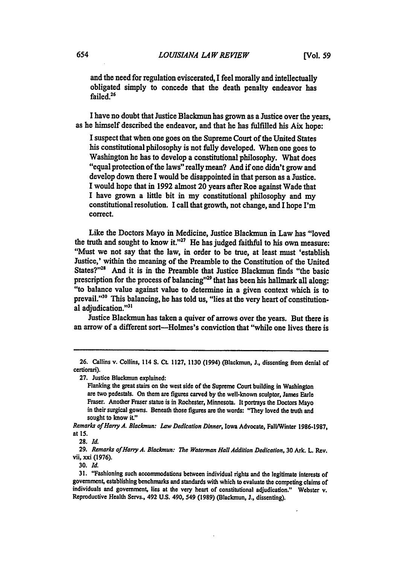and the need for regulation eviscerated, I feel morally and intellectually obligated simply to concede that the death penalty endeavor has failed.<sup>26</sup>

I have no doubt that Justice Blackmun has grown as a Justice over the years, as he himself described the endeavor, and that he has fulfilled his Aix hope:

I suspect that when one goes on the Supreme Court of the United States his constitutional philosophy is not fully developed. When one goes to Washington he has to develop a constitutional philosophy. What does "equal protection of the laws" really mean? And if one didn't grow and develop down there **I** would be disappointed in that person as a Justice. **I** would hope that in **1992** almost 20 years after Roe against Wade that **I** have grown a little bit in my constitutional philosophy and my constitutional resolution. **I** call that growth, not change, and **I** hope I'm correct.

Like the Doctors Mayo in Medicine, Justice Blackmun in Law has "loved the truth and sought to know it."27 He has judged faithful to his own measure: "Must we not say that the law, in order to be true, at least must 'establish Justice,' within the meaning of the Preamble to the Constitution of the United States?"<sup>28</sup> And it is in the Preamble that Justice Blackmun finds "the basic prescription for the process of balancing"29 that has been his hallmark all along: "to balance value against value to determine in a given context which is to prevail."<sup>30</sup> This balancing, he has told us, "lies at the very heart of constitutional adjudication."<sup>31</sup>

Justice Blackmun has taken a quiver of arrows over the years. But there is an arrow of a different sort-Holmes's conviction that "while one lives there is

**30.** *Id.* 

**<sup>26.</sup>** Callins v. Collins, 114 **S.** Ct. **1127, 1130** (1994) (Blackmun, **J.,** dissenting from denial **of**  certiorari).

**<sup>27.</sup>** Justice Blackmun explained:

Flanking the great stairs on the west side of the Supreme Court building in Washington are two pedestals. On them are figures carved **by** the well-known sculptor, James Earle Fraser. Another Fraser statue is in Rochester, Minnesota. It portrays the Doctors Mayo in their surgical gowns. Beneath those figures are the words: "They loved the truth and sought to know it."

*Remarks ofHarryA.* Blackmun: *Law* Dedication Dinner, Iowa Advocate, Fall/Winter **1986-1987,**  at **15.** 

**<sup>28.</sup>** *Id.* 

**<sup>29.</sup>** *Remarks ofHarry A. Blackmun: The WatermanHallAddition Dedication,* 30 Ark. L. Rev. vii, xxi **(1976).** 

**<sup>31.</sup>** "Fashioning such accommodations between individual rights and the legitimate interests of government, establishing benchmarks and standards with which to evaluate the competing claims of individuals and government, lies at the very heart of constitutional adjudication." Webster v. Reproductive Health Servs., 492 **U.S.** 490, 549 **(1989)** (Blacknun, **J.,** dissenting).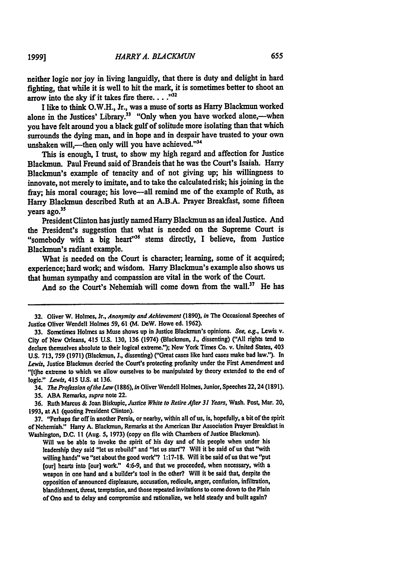neither logic nor joy in living languidly, that there is duty and delight in hard fighting, that while it is well to hit the mark, it is sometimes better to shoot an arrow into the sky if it takes fire there....**.32** 

I like to think O.W.H., Jr., was a muse of sorts as Harry Blackmun worked alone in the Justices' [Library.](https://Library.33)<sup>33</sup> "Only when you have worked alone,—when you have felt around you a black gulf of solitude more isolating than that which surrounds the dying **man,** and in hope and in despair have trusted to your own unshaken will,—then only will you have achieved. $^{34}$ 

This is enough, I trust, to show my high regard and affection for Justice Blackmun. Paul Freund said of Brandeis that he was the Court's Isaiah. Harry Blackmun's example of tenacity and of not giving up; his willingness to innovate, not merely to imitate, and to take the calculated risk; his joining in the fray; his moral courage; his love---all remind me of the example of Ruth, as Harry Blackmun described Ruth at an **A.B.A.** Prayer Breakfast, some fifteen vears  $a\alpha$ <sup>35</sup>

President Clinton has justly named Harry Blackmun as an ideal Justice. And the President's suggestion that what is needed on the Supreme Court is "somebody with a big heart"<sup>36</sup> stems directly, I believe, from Justice Blackmun's radiant example.

What is needed on the Court is character; learning, some of it acquired; experience; hard work; and wisdom. Harry Blackmun's example also shows **us**  that human sympathy and compassion are vital in the work of the Court.

And so the Court's Nehemiah will come down from the wall.<sup>37</sup> He has

34. *The Profession of the Law* (1886), *in* Oliver Wendell Holmes, Junior, Speeches 22, 24 (1891).

**35. ABA** Remarks, *supra*note 22.

**36.** Ruth Marcus **&** Joan Biskupic, *Justice White to Retire After 31 Years,* Wash. Post, Mar. 20, **1993,** at **Al** (quoting President Clinton).

37. **"Perhaps far off in another Persia, or nearby, within all of us, is, hopefully, a bit of the spirit** ofNehemiah." Harry **A.** Blackmun, Remarks at the American Bar Association Prayer Breakfast in Washington, **D.C. 11** (Aug. **5, 1973)** (copy on file with Chambers of Justice Blackrnun).

Will we be able to invoke the spirit of his day and of his people when under his leadership they said "let us rebuild" and "let us start"? Will it **be** said of us that "with willing hands" we "set about the good work"? **1:17-18.** Will itbe said of us that we "put (our] **hearts** into [our] work." 4:6-9, and that we proceeded, when necessary, with a weapon in one hand and a builder's tool in the other? Will it be said that, despite the opposition of announced displeasure, accusation, redicule, anger, confusion, infiltration, blandishment, threat, temptation, and those repeated invitations to come down to the Plain of Ono and to delay and compromise and rationalize, we held steady and built again?

<sup>32.</sup> Oliver W. Holmes, Jr., *Anonymity and Achievement* (1890), *in* The Occasional Speeches of Justice Oliver Wendell Holmes **59, 61** (M. DeW. Howe ed. **1962).** 

**<sup>33.</sup>** Sometimes Holmes as Muse shows up in Justice Blackmun's opinions. *See, e.g.,* Lewis v. City of New Orleans, 415 **U.S. 130,** 136 (1974) (Blackmun, **J.,** dissenting) **("All** rights tend to declare themselves absolute to their logical extreme:); New York Times Co. v. United States, 403 **U.S. 713, 759 (1971)** (Blackmun, J., dissenting) ("Great cases like hard cases make bad law."). In *Lewis,* Justice Blackmun decried the Court's protecting profanity under the First Amendment and "[t]he extreme to which we allow ourselves to **be** manipulated **by** theory extended to the end of logic." *Lewis, 415* **U.S.** at **136.**